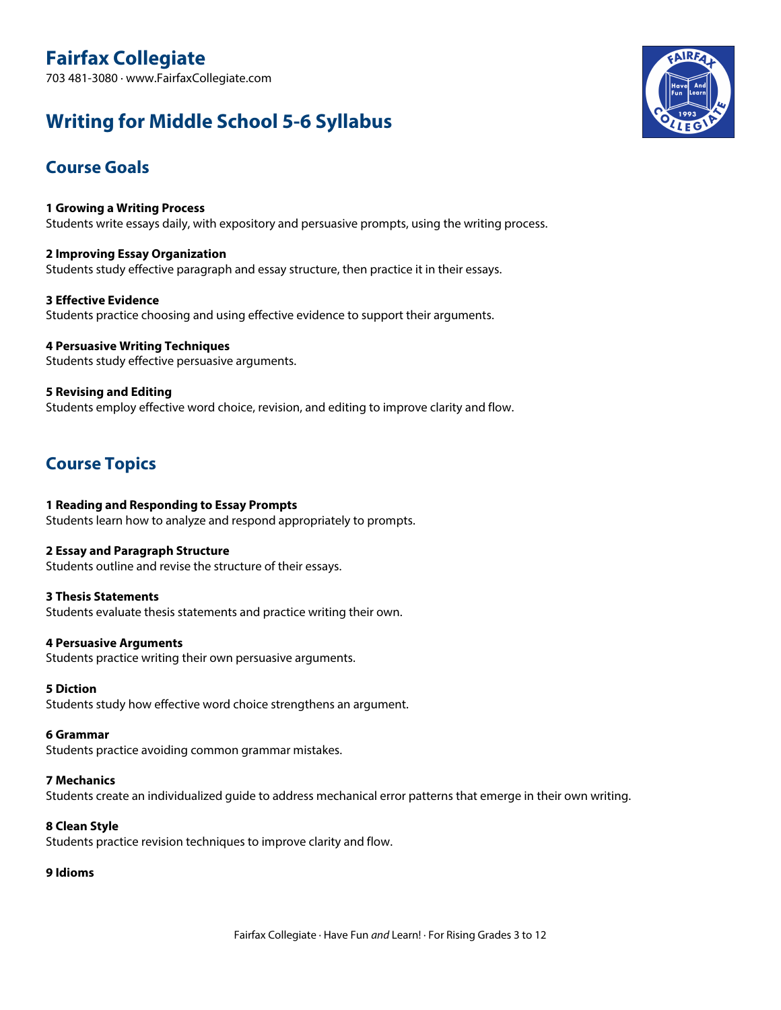# **Writing for Middle School 5-6 Syllabus**

## **Course Goals**

**1 Growing <sup>a</sup> Writing Process** Students write essays daily, with expository and persuasive prompts, using the writing process.

**2 Improving Essay Organization** Students study effective paragraph and essay structure, then practice it in their essays.

**3 Effective Evidence** Students practice choosing and using effective evidence to support their arguments.

**4 Persuasive Writing Techniques** Students study effective persuasive arguments.

**5 Revising and Editing** Students employ effective word choice, revision, and editing to improve clarity and flow.

## **Course Topics**

## **1 Reading and Responding to Essay Prompts**

Students learn how to analyze and respond appropriately to prompts.

## **2 Essay and Paragraph Structure**

Students outline and revise the structure of their essays.

## **3 Thesis Statements**

Students evaluate thesis statements and practice writing their own.

## **4 Persuasive Arguments**

Students practice writing their own persuasive arguments.

## **5 Diction**

Students study how effective word choice strengthens an argument.

## **6 Grammar**

Students practice avoiding common grammar mistakes.

## **7 Mechanics**

Students create an individualized guide to address mechanical error patterns that emerge in their own writing.

## **8 Clean Style**

Students practice revision techniques to improve clarity and flow.

## **9 Idioms**

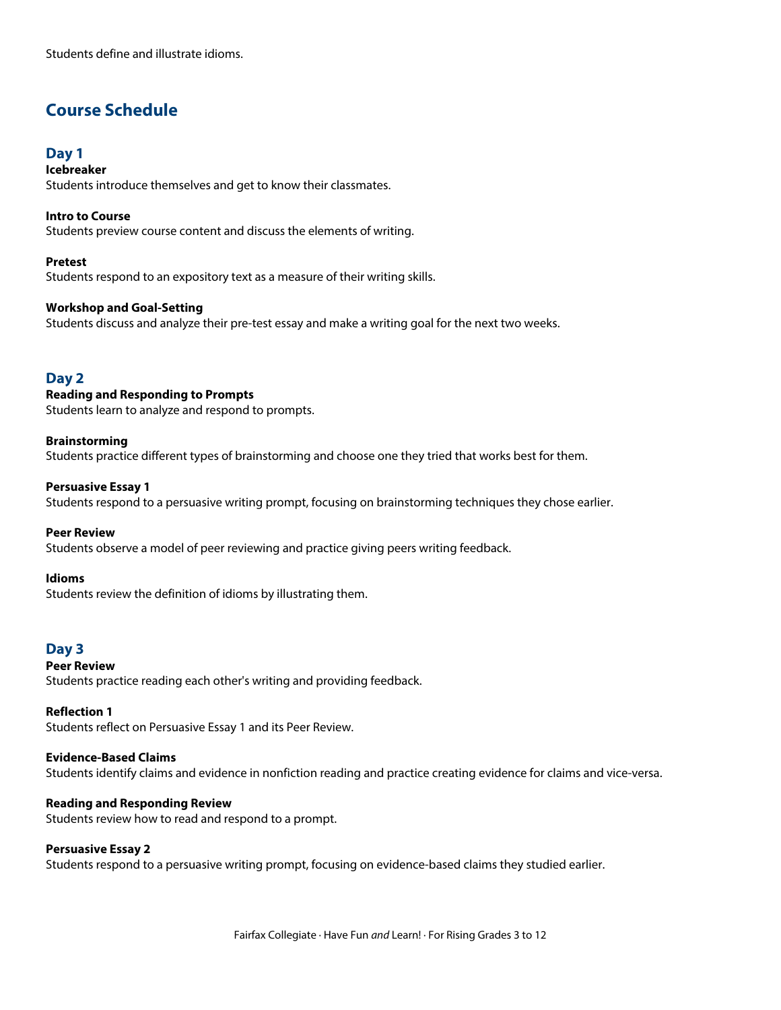Students define and illustrate idioms.

## **Course Schedule**

## **Day 1**

**Icebreaker** Students introduce themselves and get to know their classmates.

**Intro to Course** Students preview course content and discuss the elements of writing.

## **Pretest**

Students respond to an expository text as <sup>a</sup> measure of their writing skills.

## **Workshop and Goal-Setting**

Students discuss and analyze their pre-test essay and make <sup>a</sup> writing goal for the next two weeks.

## **Day 2**

## **Reading and Responding to Prompts**

Students learn to analyze and respond to prompts.

#### **Brainstorming**

Students practice different types of brainstorming and choose one they tried that works best for them.

#### **Persuasive Essay 1**

Students respond to <sup>a</sup> persuasive writing prompt, focusing on brainstorming techniques they chose earlier.

#### **Peer Review**

Students observe <sup>a</sup> model of peer reviewing and practice giving peers writing feedback.

#### **Idioms**

Students review the definition of idioms by illustrating them.

## **Day 3**

## **Peer Review**

Students practice reading each other's writing and providing feedback.

#### **Reflection 1**

Students reflect on Persuasive Essay <sup>1</sup> and its Peer Review.

## **Evidence-Based Claims**

Students identify claims and evidence in nonfiction reading and practice creating evidence for claims and vice-versa.

#### **Reading and Responding Review**

Students review how to read and respond to <sup>a</sup> prompt.

## **Persuasive Essay 2**

Students respond to <sup>a</sup> persuasive writing prompt, focusing on evidence-based claims they studied earlier.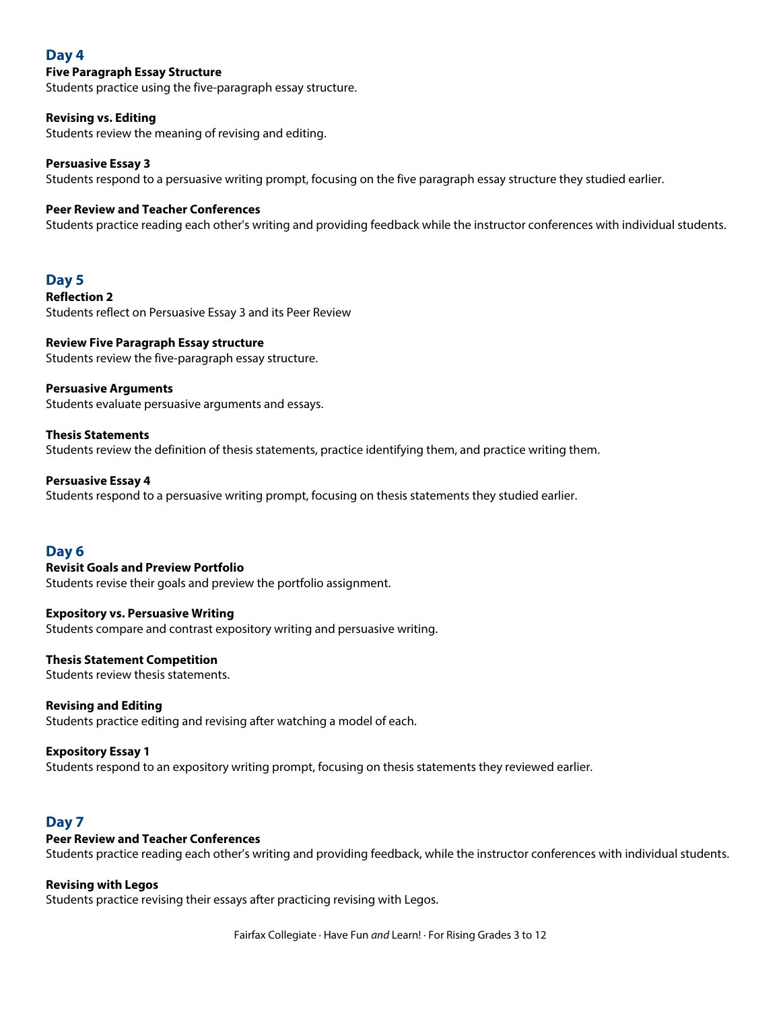## **Day 4**

## **Five Paragraph Essay Structure**

Students practice using the five-paragraph essay structure.

## **Revising vs. Editing**

Students review the meaning of revising and editing.

## **Persuasive Essay 3**

Students respond to <sup>a</sup> persuasive writing prompt, focusing on the five paragraph essay structure they studied earlier.

## **Peer Review and Teacher Conferences**

Students practice reading each other's writing and providing feedback while the instructor conferences with individual students.

## **Day 5**

**Reflection 2** Students reflect on Persuasive Essay 3 and its Peer Review

#### **Review Five Paragraph Essay structure** Students review the five-paragraph essay structure.

**Persuasive Arguments**

Students evaluate persuasive arguments and essays.

## **Thesis Statements**

Students review the definition of thesis statements, practice identifying them, and practice writing them.

## **Persuasive Essay 4**

Students respond to <sup>a</sup> persuasive writing prompt, focusing on thesis statements they studied earlier.

## **Day 6**

## **Revisit Goals and Preview Portfolio**

Students revise their goals and preview the portfolio assignment.

## **Expository vs. Persuasive Writing**

Students compare and contrast expository writing and persuasive writing.

## **Thesis Statement Competition**

Students review thesis statements.

## **Revising and Editing**

Students practice editing and revising after watching <sup>a</sup> model of each.

## **Expository Essay 1**

Students respond to an expository writing prompt, focusing on thesis statements they reviewed earlier.

## **Day 7**

## **Peer Review and Teacher Conferences**

Students practice reading each other's writing and providing feedback, while the instructor conferences with individual students.

## **Revising with Legos**

Students practice revising their essays after practicing revising with Legos.